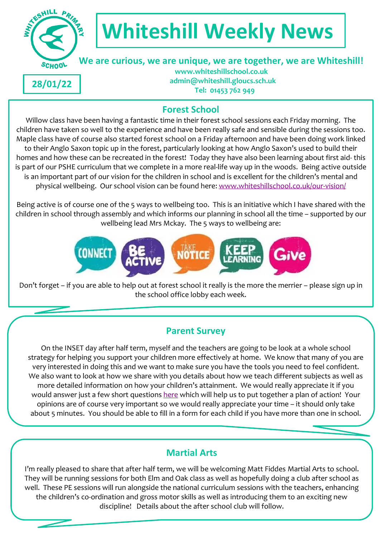

# **Whiteshill Weekly News**

 **We are curious, we are unique, we are together, we are Whiteshill!**

**28/01/22**

 **www.whiteshillschool.co.uk admin@whiteshill.gloucs.sch.uk Tel: 01453 762 949**

# **Forest School**

Willow class have been having a fantastic time in their forest school sessions each Friday morning. The children have taken so well to the experience and have been really safe and sensible during the sessions too. Maple class have of course also started forest school on a Friday afternoon and have been doing work linked to their Anglo Saxon topic up in the forest, particularly looking at how Anglo Saxon's used to build their homes and how these can be recreated in the forest! Today they have also been learning about first aid- this is part of our PSHE curriculum that we complete in a more real-life way up in the woods. Being active outside is an important part of our vision for the children in school and is excellent for the children's mental and physical wellbeing. Our school vision can be found here: [www.whiteshillschool.co.uk/our-vision/](http://www.whiteshillschool.co.uk/our-vision/)

Being active is of course one of the 5 ways to wellbeing too. This is an initiative which I have shared with the children in school through assembly and which informs our planning in school all the time – supported by our wellbeing lead Mrs Mckay. The 5 ways to wellbeing are:



Don't forget – if you are able to help out at forest school it really is the more the merrier – please sign up in the school office lobby each week.

# **Parent Survey**

On the INSET day after half term, myself and the teachers are going to be look at a whole school strategy for helping you support your children more effectively at home. We know that many of you are very interested in doing this and we want to make sure you have the tools you need to feel confident. We also want to look at how we share with you details about how we teach different subjects as well as more detailed information on how your children's attainment. We would really appreciate it if you would answer just a few short questions [here](https://forms.gle/9jRxZ7FW8fikeSwK6) which will help us to put together a plan of action! Your opinions are of course very important so we would really appreciate your time – it should only take about 5 minutes. You should be able to fill in a form for each child if you have more than one in school.

# **Martial Arts**

I'm really pleased to share that after half term, we will be welcoming Matt Fiddes Martial Arts to school. They will be running sessions for both Elm and Oak class as well as hopefully doing a club after school as well. These PE sessions will run alongside the national curriculum sessions with the teachers, enhancing the children's co-ordination and gross motor skills as well as introducing them to an exciting new discipline! Details about the after school club will follow.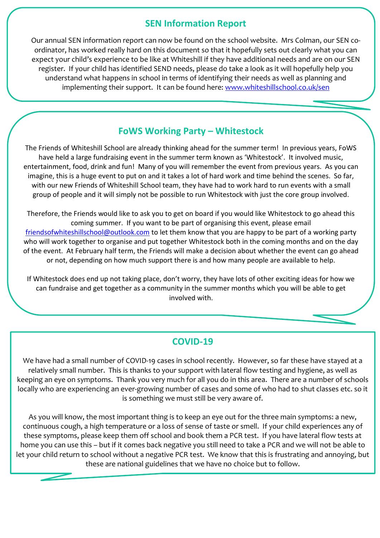#### **SEN Information Report**

Our annual SEN information report can now be found on the school website. Mrs Colman, our SEN coordinator, has worked really hard on this document so that it hopefully sets out clearly what you can expect your child's experience to be like at Whiteshill if they have additional needs and are on our SEN register. If your child has identified SEND needs, please do take a look as it will hopefully help you understand what happens in school in terms of identifying their needs as well as planning and implementing their support. It can be found here: [www.whiteshillschool.co.uk/sen](http://www.whiteshillschool.co.uk/sen)

## **FoWS Working Party – Whitestock**

The Friends of Whiteshill School are already thinking ahead for the summer term! In previous years, FoWS have held a large fundraising event in the summer term known as 'Whitestock'. It involved music, entertainment, food, drink and fun! Many of you will remember the event from previous years. As you can imagine, this is a huge event to put on and it takes a lot of hard work and time behind the scenes. So far, with our new Friends of Whiteshill School team, they have had to work hard to run events with a small group of people and it will simply not be possible to run Whitestock with just the core group involved.

Therefore, the Friends would like to ask you to get on board if you would like Whitestock to go ahead this coming summer. If you want to be part of organising this event, please email [friendsofwhiteshillschool@outlook.com](mailto:friendsofwhiteshillschool@outlook.com) to let them know that you are happy to be part of a working party who will work together to organise and put together Whitestock both in the coming months and on the day of the event. At February half term, the Friends will make a decision about whether the event can go ahead or not, depending on how much support there is and how many people are available to help.

If Whitestock does end up not taking place, don't worry, they have lots of other exciting ideas for how we can fundraise and get together as a community in the summer months which you will be able to get involved with.

## **COVID-19**

We have had a small number of COVID-19 cases in school recently. However, so far these have stayed at a relatively small number. This is thanks to your support with lateral flow testing and hygiene, as well as keeping an eye on symptoms. Thank you very much for all you do in this area. There are a number of schools locally who are experiencing an ever-growing number of cases and some of who had to shut classes etc. so it is something we must still be very aware of.

As you will know, the most important thing is to keep an eye out for the three main symptoms: a new, continuous cough, a high temperature or a loss of sense of taste or smell. If your child experiences any of these symptoms, please keep them off school and book them a PCR test. If you have lateral flow tests at home you can use this – but if it comes back negative you still need to take a PCR and we will not be able to let your child return to school without a negative PCR test. We know that this is frustrating and annoying, but these are national guidelines that we have no choice but to follow.